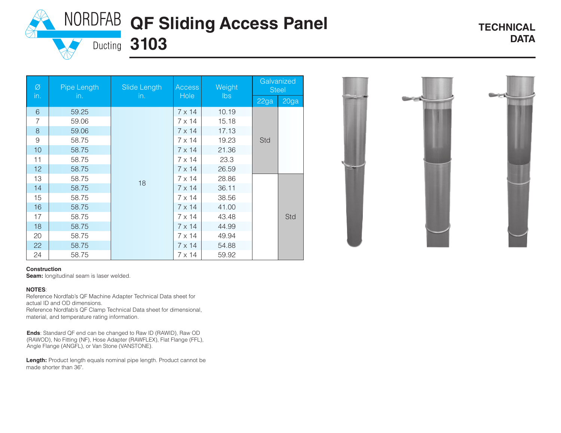## **NORDFAB QF Sliding Access Panel**

Ø in. Pipe Length in. Slide Length in. **Access Hole Weight** lbs **Galvanized** Steel 22ga 20ga 6 59.25 18  $7 \times 14$  10.19 Std 7 | 59.06 | 7 x 14 | 15.18 8 59.06 and 59.06 and 59.06 and 59.06 and 59.06 and 50.07 and 51.7 x 14 | 51.13 9 58.75 | 7 x 14 | 19.23 10 58.75 | 7 x 14 21.36 11 | 58.75 | 7 x 14 | 23.3 12 | 58.75 | 7 x 14 26.59 13 58.75 | 10 7 x 14 28.86 Std 14 58.75 | 17 x 14 36.11 15 | 58.75 | 7 x 14 | 38.56 16 58.75 | 7 x 14 41.00  $17$  58.75  $\vert$  7 x 14 43.48 18 | 58.75 | 7 x 14 44.99 20 | 58.75 | 7 x 14 49.94 22 58.75 | 7 x 14 54.88



#### **Construction**

**Seam:** longitudinal seam is laser welded.

#### **NOTES**:

Reference Nordfab's QF Machine Adapter Technical Data sheet for actual ID and OD dimensions.

24 58.75 and  $7 \times 14$  59.92

**Ducting 3103** 

Reference Nordfab's QF Clamp Technical Data sheet for dimensional, material, and temperature rating information.

**Ends**: Standard QF end can be changed to Raw ID (RAWID), Raw OD (RAWOD), No Fitting (NF), Hose Adapter (RAWFLEX), Flat Flange (FFL), Angle Flange (ANGFL), or Van Stone (VANSTONE).

**Length:** Product length equals nominal pipe length. Product cannot be made shorter than 36".